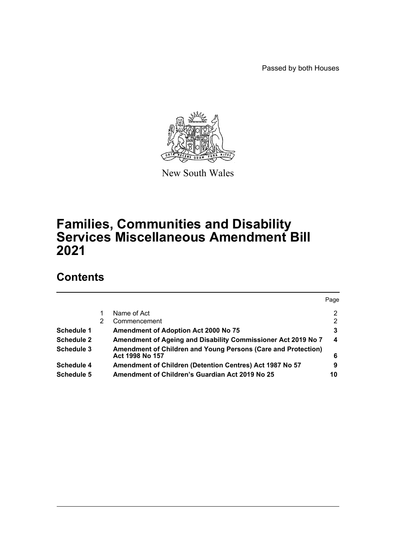Passed by both Houses



New South Wales

# **Families, Communities and Disability Services Miscellaneous Amendment Bill 2021**

# **Contents**

|                   |   |                                                                                  | Page |
|-------------------|---|----------------------------------------------------------------------------------|------|
|                   |   | Name of Act                                                                      | 2    |
|                   | 2 | Commencement                                                                     | 2    |
| <b>Schedule 1</b> |   | <b>Amendment of Adoption Act 2000 No 75</b>                                      | 3    |
| <b>Schedule 2</b> |   | Amendment of Ageing and Disability Commissioner Act 2019 No 7                    | 4    |
| Schedule 3        |   | Amendment of Children and Young Persons (Care and Protection)<br>Act 1998 No 157 | 6    |
| <b>Schedule 4</b> |   | Amendment of Children (Detention Centres) Act 1987 No 57                         | 9    |
| Schedule 5        |   | Amendment of Children's Guardian Act 2019 No 25                                  | 10   |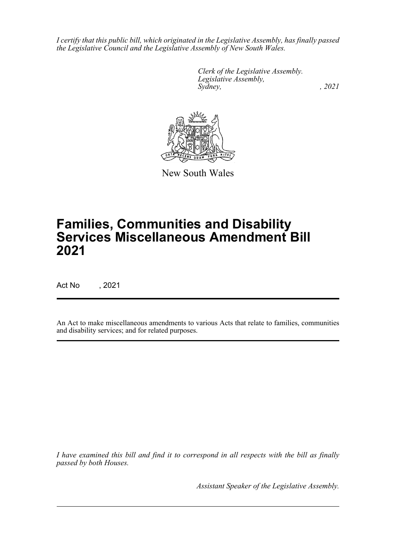*I certify that this public bill, which originated in the Legislative Assembly, has finally passed the Legislative Council and the Legislative Assembly of New South Wales.*

> *Clerk of the Legislative Assembly. Legislative Assembly, Sydney, , 2021*



New South Wales

# **Families, Communities and Disability Services Miscellaneous Amendment Bill 2021**

Act No , 2021

An Act to make miscellaneous amendments to various Acts that relate to families, communities and disability services; and for related purposes.

*I have examined this bill and find it to correspond in all respects with the bill as finally passed by both Houses.*

*Assistant Speaker of the Legislative Assembly.*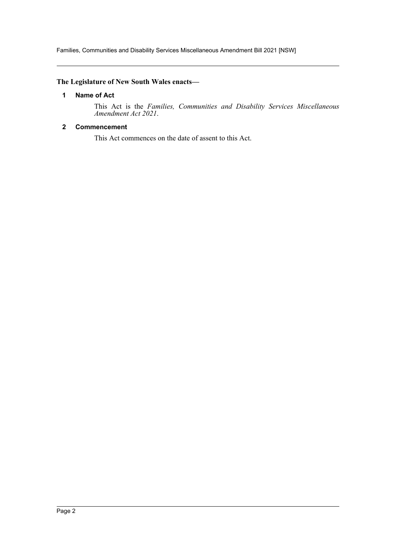Families, Communities and Disability Services Miscellaneous Amendment Bill 2021 [NSW]

## <span id="page-2-0"></span>**The Legislature of New South Wales enacts—**

#### **1 Name of Act**

This Act is the *Families, Communities and Disability Services Miscellaneous Amendment Act 2021*.

#### <span id="page-2-1"></span>**2 Commencement**

This Act commences on the date of assent to this Act.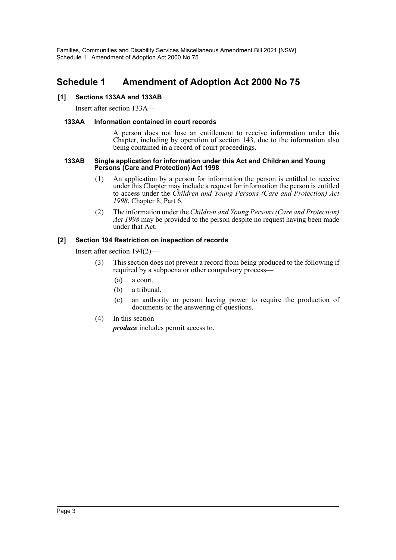# <span id="page-3-0"></span>**Schedule 1 Amendment of Adoption Act 2000 No 75**

## **[1] Sections 133AA and 133AB**

Insert after section 133A—

#### **133AA Information contained in court records**

A person does not lose an entitlement to receive information under this Chapter, including by operation of section 143, due to the information also being contained in a record of court proceedings.

#### **133AB Single application for information under this Act and Children and Young Persons (Care and Protection) Act 1998**

- (1) An application by a person for information the person is entitled to receive under this Chapter may include a request for information the person is entitled to access under the *Children and Young Persons (Care and Protection) Act 1998*, Chapter 8, Part 6.
- (2) The information under the *Children and Young Persons (Care and Protection) Act 1998* may be provided to the person despite no request having been made under that Act.

# **[2] Section 194 Restriction on inspection of records**

Insert after section 194(2)—

- (3) This section does not prevent a record from being produced to the following if required by a subpoena or other compulsory process—
	- (a) a court,
	- (b) a tribunal,
	- (c) an authority or person having power to require the production of documents or the answering of questions.
- (4) In this section—

*produce* includes permit access to.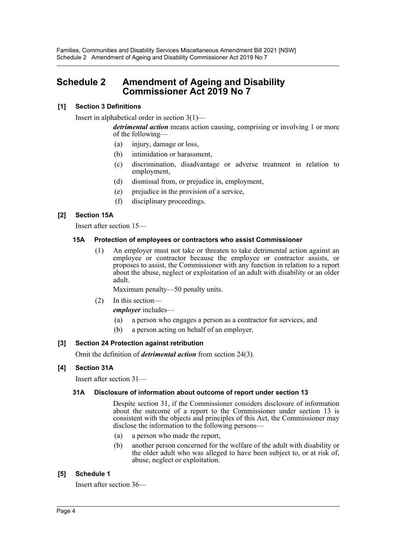# <span id="page-4-0"></span>**Schedule 2 Amendment of Ageing and Disability Commissioner Act 2019 No 7**

# **[1] Section 3 Definitions**

Insert in alphabetical order in section 3(1)—

*detrimental action* means action causing, comprising or involving 1 or more of the following—

- (a) injury, damage or loss,
- (b) intimidation or harassment,
- (c) discrimination, disadvantage or adverse treatment in relation to employment,
- (d) dismissal from, or prejudice in, employment,
- (e) prejudice in the provision of a service,
- (f) disciplinary proceedings.

## **[2] Section 15A**

Insert after section 15—

#### **15A Protection of employees or contractors who assist Commissioner**

(1) An employer must not take or threaten to take detrimental action against an employee or contractor because the employee or contractor assists, or proposes to assist, the Commissioner with any function in relation to a report about the abuse, neglect or exploitation of an adult with disability or an older adult.

Maximum penalty—50 penalty units.

(2) In this section—

*employer* includes—

- (a) a person who engages a person as a contractor for services, and
- (b) a person acting on behalf of an employer.

## **[3] Section 24 Protection against retribution**

Omit the definition of *detrimental action* from section 24(3).

#### **[4] Section 31A**

Insert after section 31—

#### **31A Disclosure of information about outcome of report under section 13**

Despite section 31, if the Commissioner considers disclosure of information about the outcome of a report to the Commissioner under section 13 is consistent with the objects and principles of this Act, the Commissioner may disclose the information to the following persons—

- (a) a person who made the report,
- (b) another person concerned for the welfare of the adult with disability or the older adult who was alleged to have been subject to, or at risk of, abuse, neglect or exploitation.

#### **[5] Schedule 1**

Insert after section 36—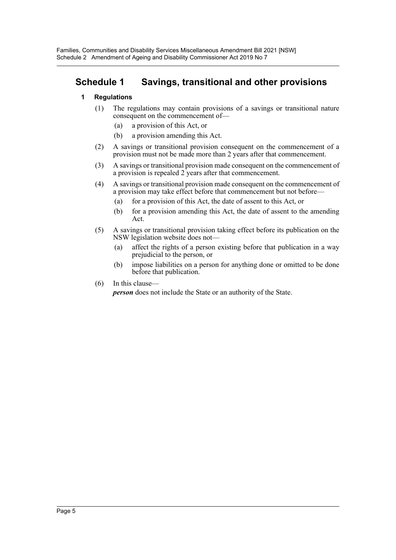# **Schedule 1 Savings, transitional and other provisions**

## **1 Regulations**

- (1) The regulations may contain provisions of a savings or transitional nature consequent on the commencement of—
	- (a) a provision of this Act, or
	- (b) a provision amending this Act.
- (2) A savings or transitional provision consequent on the commencement of a provision must not be made more than 2 years after that commencement.
- (3) A savings or transitional provision made consequent on the commencement of a provision is repealed 2 years after that commencement.
- (4) A savings or transitional provision made consequent on the commencement of a provision may take effect before that commencement but not before—
	- (a) for a provision of this Act, the date of assent to this Act, or
	- (b) for a provision amending this Act, the date of assent to the amending Act.
- (5) A savings or transitional provision taking effect before its publication on the NSW legislation website does not—
	- (a) affect the rights of a person existing before that publication in a way prejudicial to the person, or
	- (b) impose liabilities on a person for anything done or omitted to be done before that publication.
- (6) In this clause—

*person* does not include the State or an authority of the State.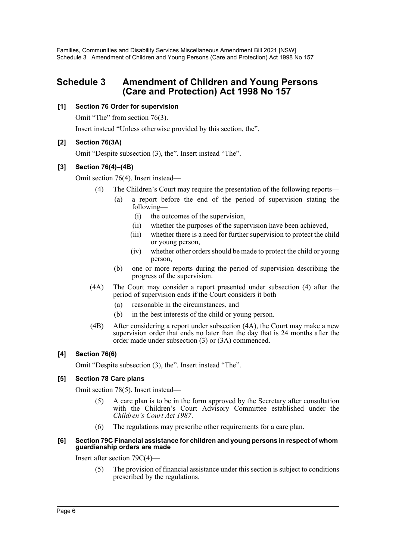# <span id="page-6-0"></span>**Schedule 3 Amendment of Children and Young Persons (Care and Protection) Act 1998 No 157**

# **[1] Section 76 Order for supervision**

Omit "The" from section 76(3).

Insert instead "Unless otherwise provided by this section, the".

# **[2] Section 76(3A)**

Omit "Despite subsection (3), the". Insert instead "The".

# **[3] Section 76(4)–(4B)**

Omit section 76(4). Insert instead—

- (4) The Children's Court may require the presentation of the following reports
	- a report before the end of the period of supervision stating the following—
		- (i) the outcomes of the supervision,
		- (ii) whether the purposes of the supervision have been achieved,
		- (iii) whether there is a need for further supervision to protect the child or young person,
		- (iv) whether other orders should be made to protect the child or young person,
	- (b) one or more reports during the period of supervision describing the progress of the supervision.
- (4A) The Court may consider a report presented under subsection (4) after the period of supervision ends if the Court considers it both—
	- (a) reasonable in the circumstances, and
	- (b) in the best interests of the child or young person.
- (4B) After considering a report under subsection (4A), the Court may make a new supervision order that ends no later than the day that is 24 months after the order made under subsection (3) or (3A) commenced.

## **[4] Section 76(6)**

Omit "Despite subsection (3), the". Insert instead "The".

## **[5] Section 78 Care plans**

Omit section 78(5). Insert instead—

- (5) A care plan is to be in the form approved by the Secretary after consultation with the Children's Court Advisory Committee established under the *Children's Court Act 1987*.
- (6) The regulations may prescribe other requirements for a care plan.

#### **[6] Section 79C Financial assistance for children and young persons in respect of whom guardianship orders are made**

Insert after section 79C(4)—

(5) The provision of financial assistance under this section is subject to conditions prescribed by the regulations.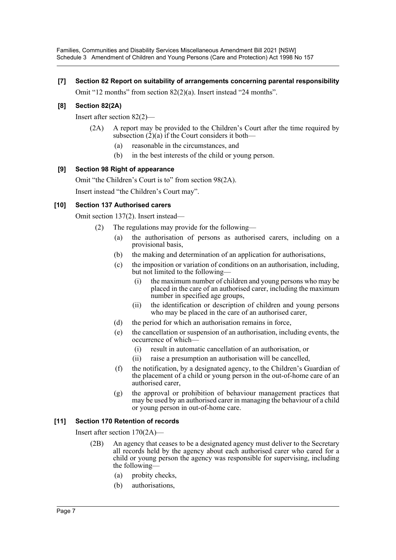Families, Communities and Disability Services Miscellaneous Amendment Bill 2021 [NSW] Schedule 3 Amendment of Children and Young Persons (Care and Protection) Act 1998 No 157

#### **[7] Section 82 Report on suitability of arrangements concerning parental responsibility**

Omit "12 months" from section 82(2)(a). Insert instead "24 months".

#### **[8] Section 82(2A)**

Insert after section 82(2)—

- (2A) A report may be provided to the Children's Court after the time required by subsection  $(2)(a)$  if the Court considers it both—
	- (a) reasonable in the circumstances, and
	- (b) in the best interests of the child or young person.

#### **[9] Section 98 Right of appearance**

Omit "the Children's Court is to" from section 98(2A).

Insert instead "the Children's Court may".

#### **[10] Section 137 Authorised carers**

Omit section 137(2). Insert instead—

- (2) The regulations may provide for the following—
	- (a) the authorisation of persons as authorised carers, including on a provisional basis,
	- (b) the making and determination of an application for authorisations,
	- (c) the imposition or variation of conditions on an authorisation, including, but not limited to the following—
		- (i) the maximum number of children and young persons who may be placed in the care of an authorised carer, including the maximum number in specified age groups,
		- (ii) the identification or description of children and young persons who may be placed in the care of an authorised carer,
	- (d) the period for which an authorisation remains in force,
	- (e) the cancellation or suspension of an authorisation, including events, the occurrence of which—
		- (i) result in automatic cancellation of an authorisation, or
		- (ii) raise a presumption an authorisation will be cancelled,
	- (f) the notification, by a designated agency, to the Children's Guardian of the placement of a child or young person in the out-of-home care of an authorised carer,
	- (g) the approval or prohibition of behaviour management practices that may be used by an authorised carer in managing the behaviour of a child or young person in out-of-home care.

## **[11] Section 170 Retention of records**

Insert after section 170(2A)—

- (2B) An agency that ceases to be a designated agency must deliver to the Secretary all records held by the agency about each authorised carer who cared for a child or young person the agency was responsible for supervising, including the following—
	- (a) probity checks,
	- (b) authorisations,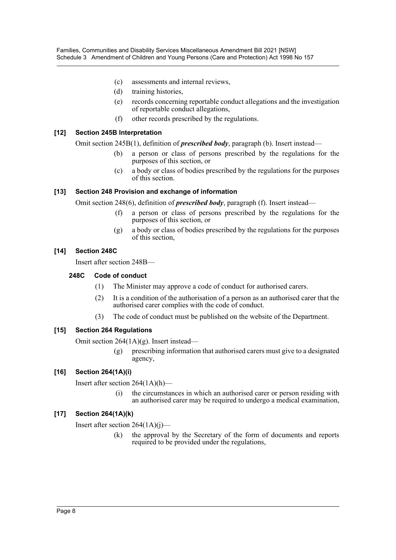- (c) assessments and internal reviews,
- (d) training histories,
- (e) records concerning reportable conduct allegations and the investigation of reportable conduct allegations,
- (f) other records prescribed by the regulations.

#### **[12] Section 245B Interpretation**

Omit section 245B(1), definition of *prescribed body*, paragraph (b). Insert instead—

- (b) a person or class of persons prescribed by the regulations for the purposes of this section, or
- (c) a body or class of bodies prescribed by the regulations for the purposes of this section.

#### **[13] Section 248 Provision and exchange of information**

Omit section 248(6), definition of *prescribed body*, paragraph (f). Insert instead—

- (f) a person or class of persons prescribed by the regulations for the purposes of this section, or
- (g) a body or class of bodies prescribed by the regulations for the purposes of this section,

#### **[14] Section 248C**

Insert after section 248B—

#### **248C Code of conduct**

- (1) The Minister may approve a code of conduct for authorised carers.
- (2) It is a condition of the authorisation of a person as an authorised carer that the authorised carer complies with the code of conduct.
- (3) The code of conduct must be published on the website of the Department.

## **[15] Section 264 Regulations**

Omit section 264(1A)(g). Insert instead—

(g) prescribing information that authorised carers must give to a designated agency,

## **[16] Section 264(1A)(i)**

Insert after section 264(1A)(h)—

(i) the circumstances in which an authorised carer or person residing with an authorised carer may be required to undergo a medical examination,

## **[17] Section 264(1A)(k)**

Insert after section 264(1A)(j)—

(k) the approval by the Secretary of the form of documents and reports required to be provided under the regulations,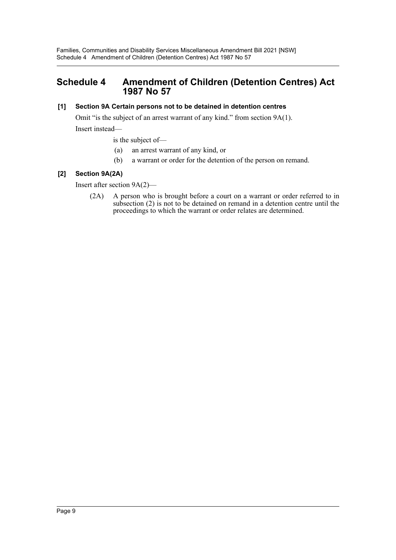# <span id="page-9-0"></span>**Schedule 4 Amendment of Children (Detention Centres) Act 1987 No 57**

## **[1] Section 9A Certain persons not to be detained in detention centres**

Omit "is the subject of an arrest warrant of any kind." from section 9A(1). Insert instead—

is the subject of—

- (a) an arrest warrant of any kind, or
- (b) a warrant or order for the detention of the person on remand.

# **[2] Section 9A(2A)**

Insert after section 9A(2)—

(2A) A person who is brought before a court on a warrant or order referred to in subsection (2) is not to be detained on remand in a detention centre until the proceedings to which the warrant or order relates are determined.